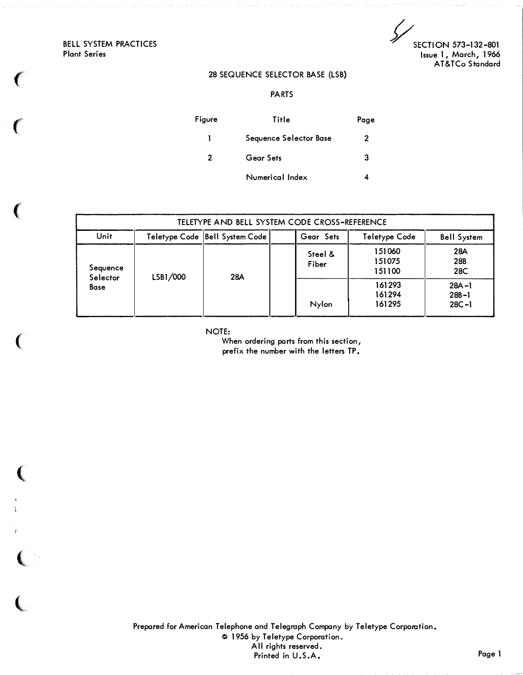BELL SYSTEM PRACTICES Plant Series

 $\big($ 

 $\big($ 

 $\big($ 

(

 $\left($ 

 $\big($ 

 $\big($ 

SECTION 573-132-801 Issue 1, March, 1966 AT&TCo Standard

## 28 SEQUENCE SELECTOR BASE (LSB)

PARTS

| Figure | Title                  | Page |
|--------|------------------------|------|
| L      | Sequence Selector Base | 2    |
| 2      | Gear Sets              | 3    |
|        | Numerical Index        |      |

| TELETYPE AND BELL SYSTEM CODE CROSS-REFERENCE |          |                                  |                  |                            |                                     |  |
|-----------------------------------------------|----------|----------------------------------|------------------|----------------------------|-------------------------------------|--|
| Unit                                          |          | Teletype Code   Bell System Code | Gear Sets        | <b>Teletype Code</b>       | <b>Bell System</b>                  |  |
| Sequence                                      | LSB1/000 | 28A                              | Steel &<br>Fiber | 151060<br>151075<br>151100 | 28A<br>28B<br>28C                   |  |
| Selector<br>Base                              |          |                                  | Nylon            | 161293<br>161294<br>161295 | $28A - 1$<br>$28B - 1$<br>$28C - 1$ |  |

NOTE:

When ordering parts from this section, prefix the number with the letters TP.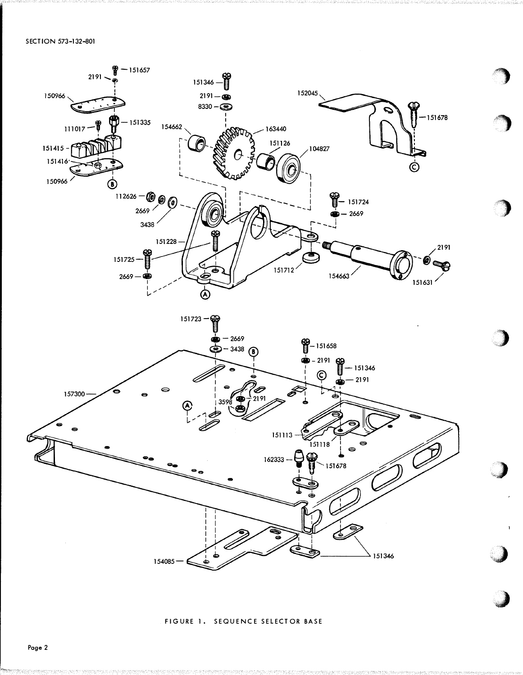

FIGURE 1. SEQUENCE SELECTOR BASE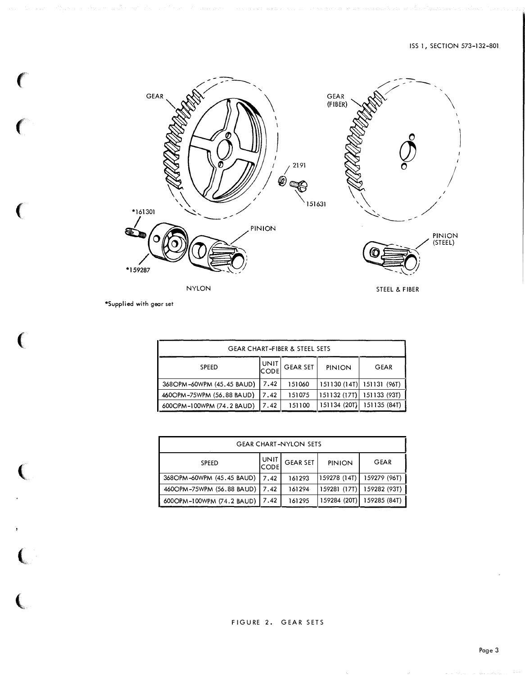

```
*Supplied with gear set
```
 $\big($ 

 $\overline{(\ }$ 

 $\left($ 

 $\big($ 

 $\left(\rule{-2pt}{10pt}\right.$ 

 $\overline{C}$ 

 $\overline{C}$ 

| <b>GEAR CHART-FIBER &amp; STEEL SETS</b> |               |                 |               |              |  |
|------------------------------------------|---------------|-----------------|---------------|--------------|--|
| <b>SPEED</b>                             | UNIT<br> CODE | <b>GEAR SET</b> | <b>PINION</b> | <b>GEAR</b>  |  |
| 368OPM-60WPM (45.45 BAUD)                | 7.42          | 151060          | 151130(14T)   | 151131 (96T) |  |
| 460OPM-75WPM (56.88 BAUD)                | 7.42          | 151075          | 151132 (17T)  | 151133 (93T) |  |
| 600OPM-100WPM (74.2 BAUD)                | 7.42          | 151100          | 151134 (20T)  | 151135 (84T) |  |

| <b>GEAR CHART-NYLON SETS</b> |                     |                 |               |              |  |
|------------------------------|---------------------|-----------------|---------------|--------------|--|
| <b>SPEED</b>                 | UNIT<br><b>CODE</b> | <b>GEAR SET</b> | <b>PINION</b> | <b>GEAR</b>  |  |
| 368OPM-60WPM (45.45 BAUD)    | 7.42                | 161293          | 159278 (14T)  | 159279 (96T) |  |
| 460OPM-75WPM (56.88 BAUD)    | 7.42                | 161294          | 159281 (17T)  | 159282 (93T) |  |
| 600OPM-100WPM (74.2 BAUD)    | 7.42                | 161295          | 159284 (20T)  | 159285 (84T) |  |